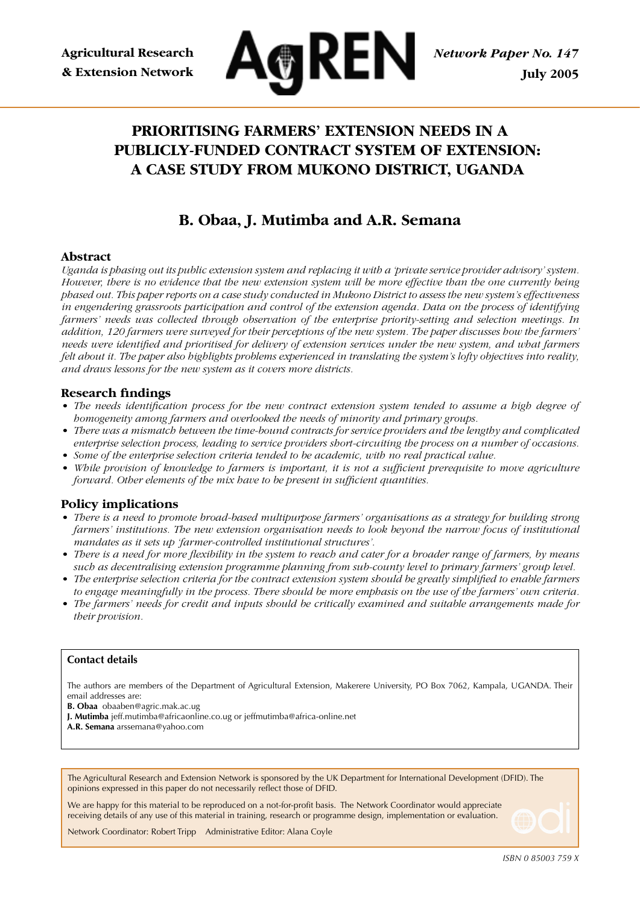

# **PRIORITISING FARMERS' EXTENSION NEEDS IN A PUBLICLY-FUNDED CONTRACT SYSTEM OF EXTENSION: A CASE STUDY FROM MUKONO DISTRICT, UGANDA**

# **B. Obaa, J. Mutimba and A.R. Semana**

### **Abstract**

*Uganda is phasing out its public extension system and replacing it with a 'private service provider advisory' system. However, there is no evidence that the new extension system will be more effective than the one currently being phased out. This paper reports on a case study conducted in Mukono District to assess the new system's effectiveness in engendering grassroots participation and control of the extension agenda. Data on the process of identifying farmers' needs was collected through observation of the enterprise priority-setting and selection meetings. In addition, 120 farmers were surveyed for their perceptions of the new system. The paper discusses how the farmers' needs were identified and prioritised for delivery of extension services under the new system, and what farmers felt about it. The paper also highlights problems experienced in translating the system's lofty objectives into reality, and draws lessons for the new system as it covers more districts.*

#### **Research findings**

- *The needs identification process for the new contract extension system tended to assume a high degree of homogeneity among farmers and overlooked the needs of minority and primary groups.*
- *There was a mismatch between the time-bound contracts for service providers and the lengthy and complicated enterprise selection process, leading to service providers short-circuiting the process on a number of occasions.*
- *Some of the enterprise selection criteria tended to be academic, with no real practical value.*
- While provision of knowledge to farmers is important, it is not a sufficient prerequisite to move agriculture *forward. Other elements of the mix have to be present in sufficient quantities.*

#### **Policy implications**

- *There is a need to promote broad-based multipurpose farmers' organisations as a strategy for building strong farmers' institutions. The new extension organisation needs to look beyond the narrow focus of institutional mandates as it sets up 'farmer-controlled institutional structures'.*
- *There is a need for more flexibility in the system to reach and cater for a broader range of farmers, by means such as decentralising extension programme planning from sub-county level to primary farmers' group level.*
- *The enterprise selection criteria for the contract extension system should be greatly simplified to enable farmers to engage meaningfully in the process. There should be more emphasis on the use of the farmers' own criteria.*
- *The farmers' needs for credit and inputs should be critically examined and suitable arrangements made for their provision.*

#### **Contact details**

The authors are members of the Department of Agricultural Extension, Makerere University, PO Box 7062, Kampala, UGANDA. Their email addresses are:

**B. Obaa** obaaben@agric.mak.ac.ug

**J. Mutimba** jeff.mutimba@africaonline.co.ug or jeffmutimba@africa-online.net

**A.R. Semana** arssemana@yahoo.com

The Agricultural Research and Extension Network is sponsored by the UK Department for International Development (DFID). The opinions expressed in this paper do not necessarily reflect those of DFID.

We are happy for this material to be reproduced on a not-for-profit basis. The Network Coordinator would appreciate receiving details of any use of this material in training, research or programme design, implementation or evaluation.

Network Coordinator: Robert Tripp Administrative Editor: Alana Coyle

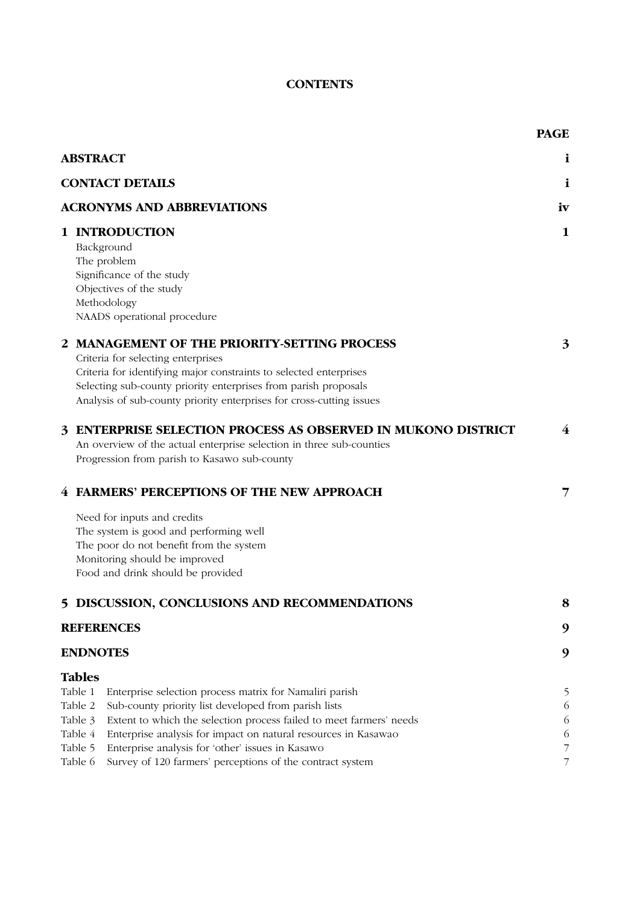## **CONTENTS**

|   |                                                                                                                                                                                                                                                                                                                                                                                                                                                              | <b>PAGE</b>                |
|---|--------------------------------------------------------------------------------------------------------------------------------------------------------------------------------------------------------------------------------------------------------------------------------------------------------------------------------------------------------------------------------------------------------------------------------------------------------------|----------------------------|
|   | <b>ABSTRACT</b>                                                                                                                                                                                                                                                                                                                                                                                                                                              | i                          |
|   | <b>CONTACT DETAILS</b>                                                                                                                                                                                                                                                                                                                                                                                                                                       | i                          |
|   | <b>ACRONYMS AND ABBREVIATIONS</b>                                                                                                                                                                                                                                                                                                                                                                                                                            | iv                         |
|   | 1 INTRODUCTION<br>Background<br>The problem<br>Significance of the study<br>Objectives of the study<br>Methodology<br>NAADS operational procedure                                                                                                                                                                                                                                                                                                            | $\mathbf{1}$               |
|   | 2 MANAGEMENT OF THE PRIORITY-SETTING PROCESS<br>Criteria for selecting enterprises<br>Criteria for identifying major constraints to selected enterprises<br>Selecting sub-county priority enterprises from parish proposals<br>Analysis of sub-county priority enterprises for cross-cutting issues                                                                                                                                                          | 3                          |
| 3 | <b>ENTERPRISE SELECTION PROCESS AS OBSERVED IN MUKONO DISTRICT</b><br>An overview of the actual enterprise selection in three sub-counties<br>Progression from parish to Kasawo sub-county                                                                                                                                                                                                                                                                   | $\bf{4}$                   |
|   | 4 FARMERS' PERCEPTIONS OF THE NEW APPROACH                                                                                                                                                                                                                                                                                                                                                                                                                   | 7                          |
|   | Need for inputs and credits<br>The system is good and performing well<br>The poor do not benefit from the system<br>Monitoring should be improved<br>Food and drink should be provided                                                                                                                                                                                                                                                                       |                            |
|   | 5 DISCUSSION, CONCLUSIONS AND RECOMMENDATIONS                                                                                                                                                                                                                                                                                                                                                                                                                | 8                          |
|   | <b>REFERENCES</b>                                                                                                                                                                                                                                                                                                                                                                                                                                            | 9                          |
|   | <b>ENDNOTES</b>                                                                                                                                                                                                                                                                                                                                                                                                                                              | 9                          |
|   | <b>Tables</b><br>Table 1<br>Enterprise selection process matrix for Namaliri parish<br>Table 2<br>Sub-county priority list developed from parish lists<br>Table 3<br>Extent to which the selection process failed to meet farmers' needs<br>Table 4<br>Enterprise analysis for impact on natural resources in Kasawao<br>Table 5<br>Enterprise analysis for 'other' issues in Kasawo<br>Table 6<br>Survey of 120 farmers' perceptions of the contract system | 5<br>6<br>6<br>6<br>7<br>7 |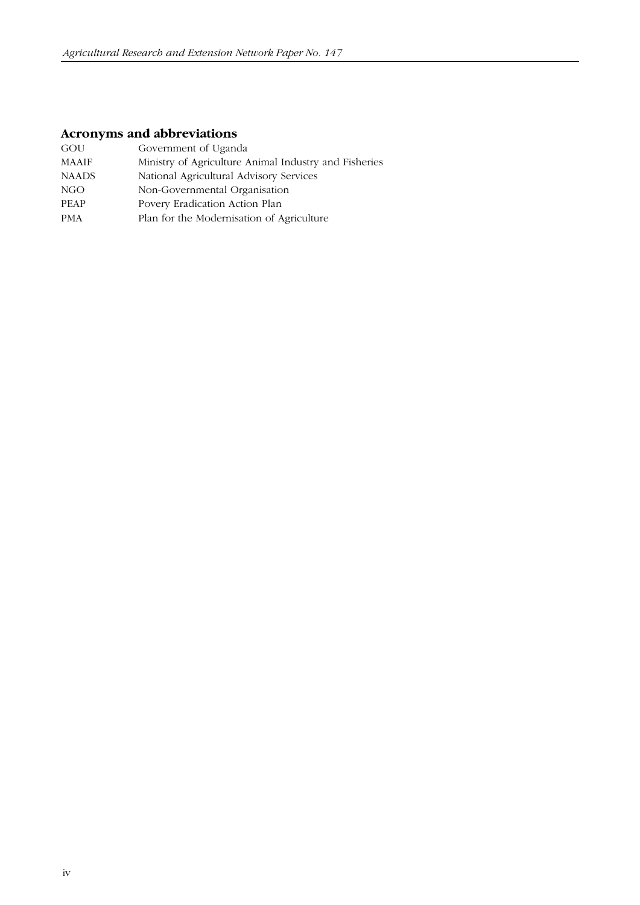# **Acronyms and abbreviations**

| GOU          | Government of Uganda                                  |
|--------------|-------------------------------------------------------|
| <b>MAAIF</b> | Ministry of Agriculture Animal Industry and Fisheries |
| <b>NAADS</b> | National Agricultural Advisory Services               |
| NGO          | Non-Governmental Organisation                         |
| <b>PEAP</b>  | Povery Eradication Action Plan                        |
| <b>PMA</b>   | Plan for the Modernisation of Agriculture             |
|              |                                                       |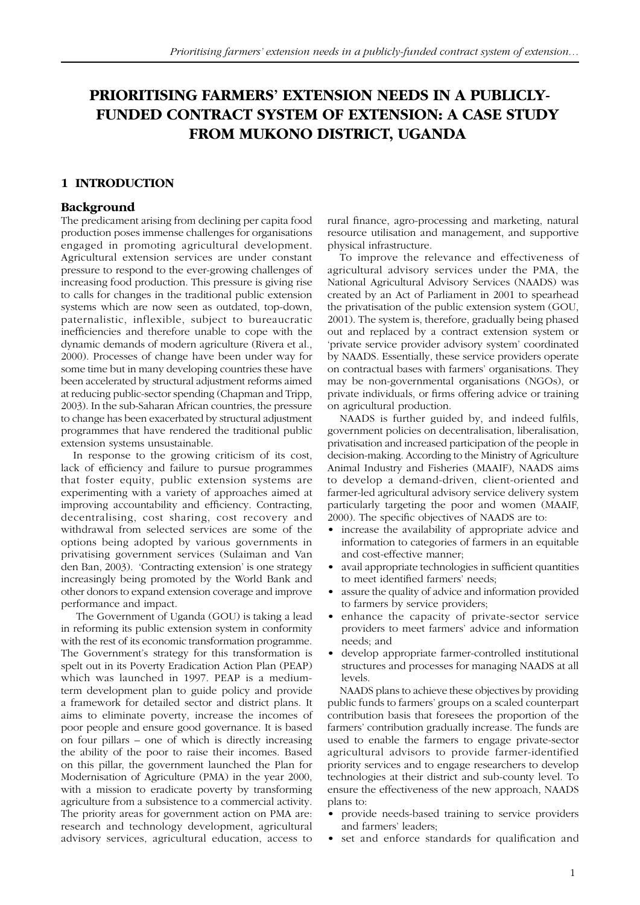# **PRIORITISING FARMERS' EXTENSION NEEDS IN A PUBLICLY-FUNDED CONTRACT SYSTEM OF EXTENSION: A CASE STUDY FROM MUKONO DISTRICT, UGANDA**

#### **1 INTRODUCTION**

#### **Background**

The predicament arising from declining per capita food production poses immense challenges for organisations engaged in promoting agricultural development. Agricultural extension services are under constant pressure to respond to the ever-growing challenges of increasing food production. This pressure is giving rise to calls for changes in the traditional public extension systems which are now seen as outdated, top-down, paternalistic, inflexible, subject to bureaucratic inefficiencies and therefore unable to cope with the dynamic demands of modern agriculture (Rivera et al., 2000). Processes of change have been under way for some time but in many developing countries these have been accelerated by structural adjustment reforms aimed at reducing public-sector spending (Chapman and Tripp, 2003). In the sub-Saharan African countries, the pressure to change has been exacerbated by structural adjustment programmes that have rendered the traditional public extension systems unsustainable.

In response to the growing criticism of its cost, lack of efficiency and failure to pursue programmes that foster equity, public extension systems are experimenting with a variety of approaches aimed at improving accountability and efficiency. Contracting, decentralising, cost sharing, cost recovery and withdrawal from selected services are some of the options being adopted by various governments in privatising government services (Sulaiman and Van den Ban, 2003). 'Contracting extension' is one strategy increasingly being promoted by the World Bank and other donors to expand extension coverage and improve performance and impact.

 The Government of Uganda (GOU) is taking a lead in reforming its public extension system in conformity with the rest of its economic transformation programme. The Government's strategy for this transformation is spelt out in its Poverty Eradication Action Plan (PEAP) which was launched in 1997. PEAP is a mediumterm development plan to guide policy and provide a framework for detailed sector and district plans. It aims to eliminate poverty, increase the incomes of poor people and ensure good governance. It is based on four pillars – one of which is directly increasing the ability of the poor to raise their incomes. Based on this pillar, the government launched the Plan for Modernisation of Agriculture (PMA) in the year 2000, with a mission to eradicate poverty by transforming agriculture from a subsistence to a commercial activity. The priority areas for government action on PMA are: research and technology development, agricultural advisory services, agricultural education, access to

rural finance, agro-processing and marketing, natural resource utilisation and management, and supportive physical infrastructure.

To improve the relevance and effectiveness of agricultural advisory services under the PMA, the National Agricultural Advisory Services (NAADS) was created by an Act of Parliament in 2001 to spearhead the privatisation of the public extension system (GOU, 2001). The system is, therefore, gradually being phased out and replaced by a contract extension system or 'private service provider advisory system' coordinated by NAADS. Essentially, these service providers operate on contractual bases with farmers' organisations. They may be non-governmental organisations (NGOs), or private individuals, or firms offering advice or training on agricultural production.

NAADS is further guided by, and indeed fulfils, government policies on decentralisation, liberalisation, privatisation and increased participation of the people in decision-making. According to the Ministry of Agriculture Animal Industry and Fisheries (MAAIF), NAADS aims to develop a demand-driven, client-oriented and farmer-led agricultural advisory service delivery system particularly targeting the poor and women (MAAIF, 2000). The specific objectives of NAADS are to:

- increase the availability of appropriate advice and information to categories of farmers in an equitable and cost-effective manner;
- avail appropriate technologies in sufficient quantities to meet identified farmers' needs;
- assure the quality of advice and information provided to farmers by service providers;
- enhance the capacity of private-sector service providers to meet farmers' advice and information needs; and
- develop appropriate farmer-controlled institutional structures and processes for managing NAADS at all levels.

NAADS plans to achieve these objectives by providing public funds to farmers' groups on a scaled counterpart contribution basis that foresees the proportion of the farmers' contribution gradually increase. The funds are used to enable the farmers to engage private-sector agricultural advisors to provide farmer-identified priority services and to engage researchers to develop technologies at their district and sub-county level. To ensure the effectiveness of the new approach, NAADS plans to:

- provide needs-based training to service providers and farmers' leaders;
- set and enforce standards for qualification and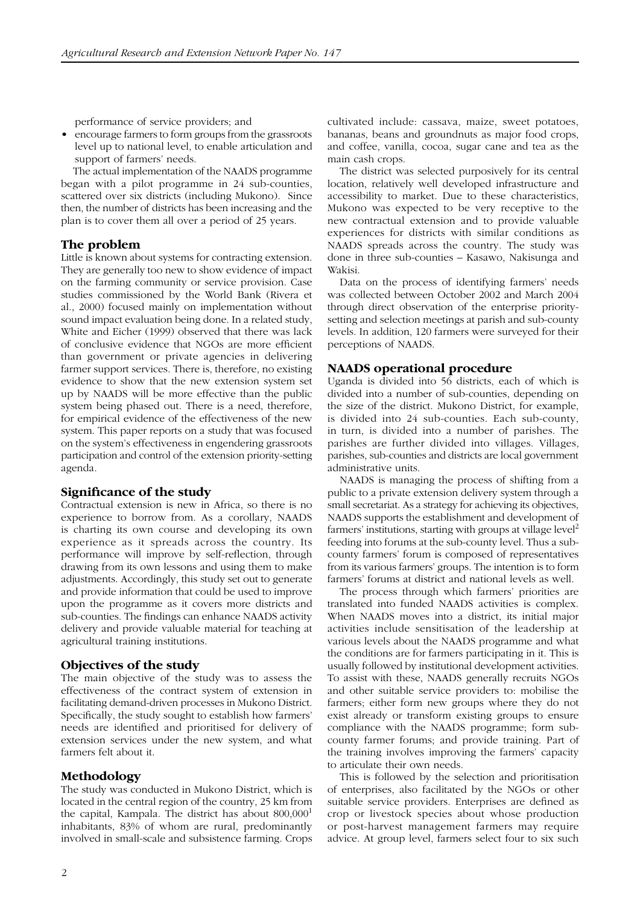performance of service providers; and

• encourage farmers to form groups from the grassroots level up to national level, to enable articulation and support of farmers' needs.

The actual implementation of the NAADS programme began with a pilot programme in 24 sub-counties, scattered over six districts (including Mukono). Since then, the number of districts has been increasing and the plan is to cover them all over a period of 25 years.

#### **The problem**

Little is known about systems for contracting extension. They are generally too new to show evidence of impact on the farming community or service provision. Case studies commissioned by the World Bank (Rivera et al., 2000) focused mainly on implementation without sound impact evaluation being done. In a related study, White and Eicher (1999) observed that there was lack of conclusive evidence that NGOs are more efficient than government or private agencies in delivering farmer support services. There is, therefore, no existing evidence to show that the new extension system set up by NAADS will be more effective than the public system being phased out. There is a need, therefore, for empirical evidence of the effectiveness of the new system. This paper reports on a study that was focused on the system's effectiveness in engendering grassroots participation and control of the extension priority-setting agenda.

#### **Significance of the study**

Contractual extension is new in Africa, so there is no experience to borrow from. As a corollary, NAADS is charting its own course and developing its own experience as it spreads across the country. Its performance will improve by self-reflection, through drawing from its own lessons and using them to make adjustments. Accordingly, this study set out to generate and provide information that could be used to improve upon the programme as it covers more districts and sub-counties. The findings can enhance NAADS activity delivery and provide valuable material for teaching at agricultural training institutions.

#### **Objectives of the study**

The main objective of the study was to assess the effectiveness of the contract system of extension in facilitating demand-driven processes in Mukono District. Specifically, the study sought to establish how farmers' needs are identified and prioritised for delivery of extension services under the new system, and what farmers felt about it.

#### **Methodology**

The study was conducted in Mukono District, which is located in the central region of the country, 25 km from the capital, Kampala. The district has about  $800,000<sup>1</sup>$ inhabitants, 83% of whom are rural, predominantly involved in small-scale and subsistence farming. Crops cultivated include: cassava, maize, sweet potatoes, bananas, beans and groundnuts as major food crops, and coffee, vanilla, cocoa, sugar cane and tea as the main cash crops.

The district was selected purposively for its central location, relatively well developed infrastructure and accessibility to market. Due to these characteristics, Mukono was expected to be very receptive to the new contractual extension and to provide valuable experiences for districts with similar conditions as NAADS spreads across the country. The study was done in three sub-counties – Kasawo, Nakisunga and Wakisi.

Data on the process of identifying farmers' needs was collected between October 2002 and March 2004 through direct observation of the enterprise prioritysetting and selection meetings at parish and sub-county levels. In addition, 120 farmers were surveyed for their perceptions of NAADS.

#### **NAADS operational procedure**

Uganda is divided into 56 districts, each of which is divided into a number of sub-counties, depending on the size of the district. Mukono District, for example, is divided into 24 sub-counties. Each sub-county, in turn, is divided into a number of parishes. The parishes are further divided into villages. Villages, parishes, sub-counties and districts are local government administrative units.

NAADS is managing the process of shifting from a public to a private extension delivery system through a small secretariat. As a strategy for achieving its objectives, NAADS supports the establishment and development of farmers' institutions, starting with groups at village level<sup>2</sup> feeding into forums at the sub-county level. Thus a subcounty farmers' forum is composed of representatives from its various farmers' groups. The intention is to form farmers' forums at district and national levels as well.

The process through which farmers' priorities are translated into funded NAADS activities is complex. When NAADS moves into a district, its initial major activities include sensitisation of the leadership at various levels about the NAADS programme and what the conditions are for farmers participating in it. This is usually followed by institutional development activities. To assist with these, NAADS generally recruits NGOs and other suitable service providers to: mobilise the farmers; either form new groups where they do not exist already or transform existing groups to ensure compliance with the NAADS programme; form subcounty farmer forums; and provide training. Part of the training involves improving the farmers' capacity to articulate their own needs.

This is followed by the selection and prioritisation of enterprises, also facilitated by the NGOs or other suitable service providers. Enterprises are defined as crop or livestock species about whose production or post-harvest management farmers may require advice. At group level, farmers select four to six such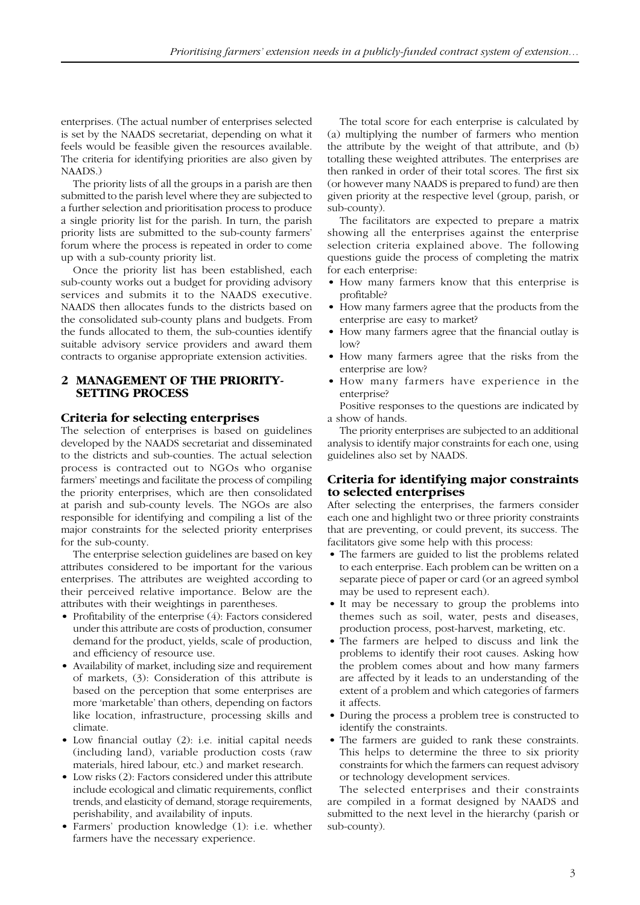enterprises. (The actual number of enterprises selected is set by the NAADS secretariat, depending on what it feels would be feasible given the resources available. The criteria for identifying priorities are also given by NAADS.)

The priority lists of all the groups in a parish are then submitted to the parish level where they are subjected to a further selection and prioritisation process to produce a single priority list for the parish. In turn, the parish priority lists are submitted to the sub-county farmers' forum where the process is repeated in order to come up with a sub-county priority list.

Once the priority list has been established, each sub-county works out a budget for providing advisory services and submits it to the NAADS executive. NAADS then allocates funds to the districts based on the consolidated sub-county plans and budgets. From the funds allocated to them, the sub-counties identify suitable advisory service providers and award them contracts to organise appropriate extension activities.

#### **2 MANAGEMENT OF THE PRIORITY-SETTING PROCESS**

#### **Criteria for selecting enterprises**

The selection of enterprises is based on guidelines developed by the NAADS secretariat and disseminated to the districts and sub-counties. The actual selection process is contracted out to NGOs who organise farmers' meetings and facilitate the process of compiling the priority enterprises, which are then consolidated at parish and sub-county levels. The NGOs are also responsible for identifying and compiling a list of the major constraints for the selected priority enterprises for the sub-county.

The enterprise selection guidelines are based on key attributes considered to be important for the various enterprises. The attributes are weighted according to their perceived relative importance. Below are the attributes with their weightings in parentheses.

- Profitability of the enterprise (4): Factors considered under this attribute are costs of production, consumer demand for the product, yields, scale of production, and efficiency of resource use.
- Availability of market, including size and requirement of markets, (3): Consideration of this attribute is based on the perception that some enterprises are more 'marketable' than others, depending on factors like location, infrastructure, processing skills and climate.
- Low financial outlay (2): i.e. initial capital needs (including land), variable production costs (raw materials, hired labour, etc.) and market research.
- Low risks (2): Factors considered under this attribute include ecological and climatic requirements, conflict trends, and elasticity of demand, storage requirements, perishability, and availability of inputs.
- Farmers' production knowledge (1): i.e. whether farmers have the necessary experience.

The total score for each enterprise is calculated by (a) multiplying the number of farmers who mention the attribute by the weight of that attribute, and (b) totalling these weighted attributes. The enterprises are then ranked in order of their total scores. The first six (or however many NAADS is prepared to fund) are then given priority at the respective level (group, parish, or sub-county).

The facilitators are expected to prepare a matrix showing all the enterprises against the enterprise selection criteria explained above. The following questions guide the process of completing the matrix for each enterprise:

- How many farmers know that this enterprise is profitable?
- How many farmers agree that the products from the enterprise are easy to market?
- How many farmers agree that the financial outlay is low?
- How many farmers agree that the risks from the enterprise are low?
- How many farmers have experience in the enterprise?

Positive responses to the questions are indicated by a show of hands.

The priority enterprises are subjected to an additional analysis to identify major constraints for each one, using guidelines also set by NAADS.

#### **Criteria for identifying major constraints to selected enterprises**

After selecting the enterprises, the farmers consider each one and highlight two or three priority constraints that are preventing, or could prevent, its success. The facilitators give some help with this process:

- The farmers are guided to list the problems related to each enterprise. Each problem can be written on a separate piece of paper or card (or an agreed symbol may be used to represent each).
- It may be necessary to group the problems into themes such as soil, water, pests and diseases, production process, post-harvest, marketing, etc.
- The farmers are helped to discuss and link the problems to identify their root causes. Asking how the problem comes about and how many farmers are affected by it leads to an understanding of the extent of a problem and which categories of farmers it affects.
- During the process a problem tree is constructed to identify the constraints.
- The farmers are guided to rank these constraints. This helps to determine the three to six priority constraints for which the farmers can request advisory or technology development services.

The selected enterprises and their constraints are compiled in a format designed by NAADS and submitted to the next level in the hierarchy (parish or sub-county).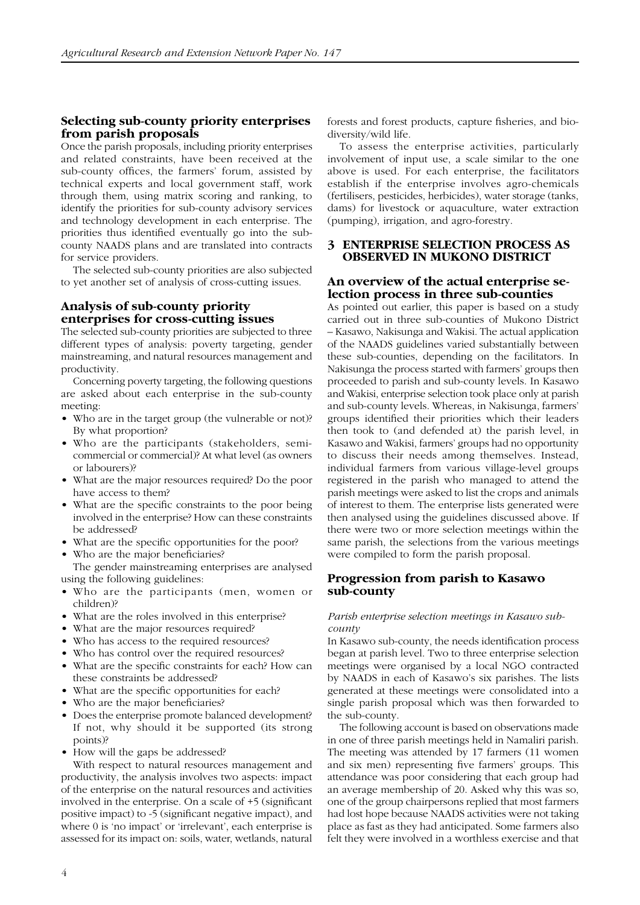#### **Selecting sub-county priority enterprises from parish proposals**

Once the parish proposals, including priority enterprises and related constraints, have been received at the sub-county offices, the farmers' forum, assisted by technical experts and local government staff, work through them, using matrix scoring and ranking, to identify the priorities for sub-county advisory services and technology development in each enterprise. The priorities thus identified eventually go into the subcounty NAADS plans and are translated into contracts for service providers.

The selected sub-county priorities are also subjected to yet another set of analysis of cross-cutting issues.

#### **Analysis of sub-county priority enterprises for cross-cutting issues**

The selected sub-county priorities are subjected to three different types of analysis: poverty targeting, gender mainstreaming, and natural resources management and productivity.

Concerning poverty targeting, the following questions are asked about each enterprise in the sub-county meeting:

- Who are in the target group (the vulnerable or not)? By what proportion?
- Who are the participants (stakeholders, semicommercial or commercial)? At what level (as owners or labourers)?
- What are the major resources required? Do the poor have access to them?
- What are the specific constraints to the poor being involved in the enterprise? How can these constraints be addressed?
- What are the specific opportunities for the poor?
- Who are the major beneficiaries?

The gender mainstreaming enterprises are analysed using the following guidelines:

- Who are the participants (men, women or children)?
- What are the roles involved in this enterprise?
- What are the major resources required?
- Who has access to the required resources?
- Who has control over the required resources?
- What are the specific constraints for each? How can these constraints be addressed?
- What are the specific opportunities for each?
- Who are the major beneficiaries?
- Does the enterprise promote balanced development? If not, why should it be supported (its strong points)?
- How will the gaps be addressed?

With respect to natural resources management and productivity, the analysis involves two aspects: impact of the enterprise on the natural resources and activities involved in the enterprise. On a scale of +5 (significant positive impact) to -5 (significant negative impact), and where 0 is 'no impact' or 'irrelevant', each enterprise is assessed for its impact on: soils, water, wetlands, natural forests and forest products, capture fisheries, and biodiversity/wild life.

To assess the enterprise activities, particularly involvement of input use, a scale similar to the one above is used. For each enterprise, the facilitators establish if the enterprise involves agro-chemicals (fertilisers, pesticides, herbicides), water storage (tanks, dams) for livestock or aquaculture, water extraction (pumping), irrigation, and agro-forestry.

#### **3 ENTERPRISE SELECTION PROCESS AS OBSERVED IN MUKONO DISTRICT**

# **An overview of the actual enterprise se- lection process in three sub-counties**

As pointed out earlier, this paper is based on a study carried out in three sub-counties of Mukono District – Kasawo, Nakisunga and Wakisi. The actual application of the NAADS guidelines varied substantially between these sub-counties, depending on the facilitators. In Nakisunga the process started with farmers' groups then proceeded to parish and sub-county levels. In Kasawo and Wakisi, enterprise selection took place only at parish and sub-county levels. Whereas, in Nakisunga, farmers' groups identified their priorities which their leaders then took to (and defended at) the parish level, in Kasawo and Wakisi, farmers' groups had no opportunity to discuss their needs among themselves. Instead, individual farmers from various village-level groups registered in the parish who managed to attend the parish meetings were asked to list the crops and animals of interest to them. The enterprise lists generated were then analysed using the guidelines discussed above. If there were two or more selection meetings within the same parish, the selections from the various meetings were compiled to form the parish proposal.

#### **Progression from parish to Kasawo sub-county**

#### *Parish enterprise selection meetings in Kasawo subcounty*

In Kasawo sub-county, the needs identification process began at parish level. Two to three enterprise selection meetings were organised by a local NGO contracted by NAADS in each of Kasawo's six parishes. The lists generated at these meetings were consolidated into a single parish proposal which was then forwarded to the sub-county.

The following account is based on observations made in one of three parish meetings held in Namaliri parish. The meeting was attended by 17 farmers (11 women and six men) representing five farmers' groups. This attendance was poor considering that each group had an average membership of 20. Asked why this was so, one of the group chairpersons replied that most farmers had lost hope because NAADS activities were not taking place as fast as they had anticipated. Some farmers also felt they were involved in a worthless exercise and that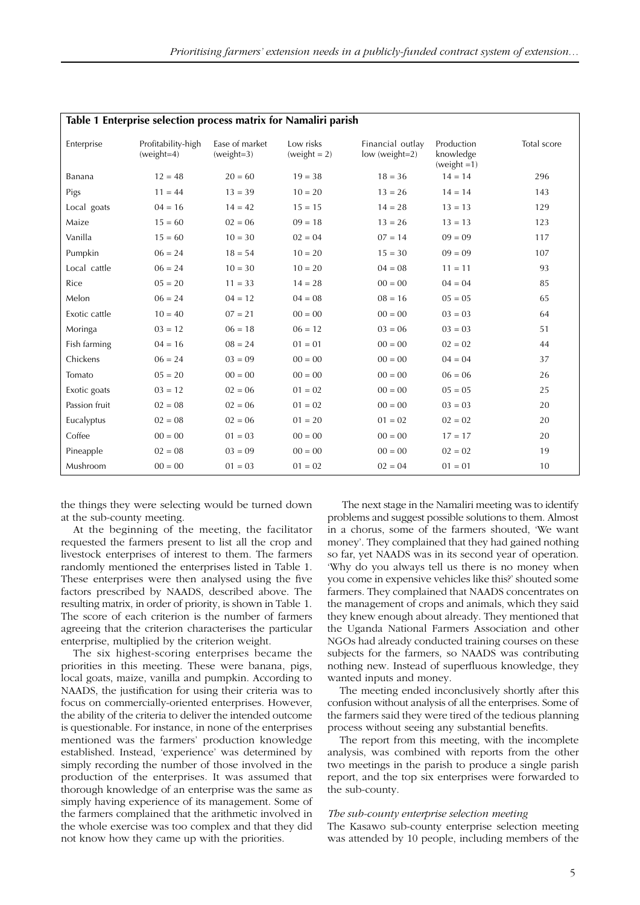| Table 1 Enterprise selection process matrix for Namaliri parish |                                    |                                |                           |                                      |                                          |             |  |  |
|-----------------------------------------------------------------|------------------------------------|--------------------------------|---------------------------|--------------------------------------|------------------------------------------|-------------|--|--|
| Enterprise                                                      | Profitability-high<br>$(weight=4)$ | Ease of market<br>$(weight=3)$ | Low risks<br>$weight = 2$ | Financial outlay<br>$low (weight=2)$ | Production<br>knowledge<br>$weight = 1)$ | Total score |  |  |
| Banana                                                          | $12 = 48$                          | $20 = 60$                      | $19 = 38$                 | $18 = 36$                            | $14 = 14$                                | 296         |  |  |
| Pigs                                                            | $11 = 44$                          | $13 = 39$                      | $10 = 20$                 | $13 = 26$                            | $14 = 14$                                | 143         |  |  |
| Local goats                                                     | $04 = 16$                          | $14 = 42$                      | $15 = 15$                 | $14 = 28$                            | $13 = 13$                                | 129         |  |  |
| Maize                                                           | $15 = 60$                          | $02 = 06$                      | $09 = 18$                 | $13 = 26$                            | $13 = 13$                                | 123         |  |  |
| Vanilla                                                         | $15 = 60$                          | $10 = 30$                      | $02 = 04$                 | $07 = 14$                            | $09 = 09$                                | 117         |  |  |
| Pumpkin                                                         | $06 = 24$                          | $18 = 54$                      | $10 = 20$                 | $15 = 30$                            | $09 = 09$                                | 107         |  |  |
| Local cattle                                                    | $06 = 24$                          | $10 = 30$                      | $10 = 20$                 | $04 = 08$                            | $11 = 11$                                | 93          |  |  |
| Rice                                                            | $05 = 20$                          | $11 = 33$                      | $14 = 28$                 | $00 = 00$                            | $04 = 04$                                | 85          |  |  |
| Melon                                                           | $06 = 24$                          | $04 = 12$                      | $04 = 08$                 | $08 = 16$                            | $05 = 05$                                | 65          |  |  |
| Exotic cattle                                                   | $10 = 40$                          | $07 = 21$                      | $00 = 00$                 | $00 = 00$                            | $03 = 03$                                | 64          |  |  |
| Moringa                                                         | $03 = 12$                          | $06 = 18$                      | $06 = 12$                 | $03 = 06$                            | $03 = 03$                                | 51          |  |  |
| Fish farming                                                    | $04 = 16$                          | $08 = 24$                      | $01 = 01$                 | $00 = 00$                            | $02 = 02$                                | 44          |  |  |
| Chickens                                                        | $06 = 24$                          | $03 = 09$                      | $00 = 00$                 | $00 = 00$                            | $04 = 04$                                | 37          |  |  |
| Tomato                                                          | $05 = 20$                          | $00 = 00$                      | $00 = 00$                 | $00 = 00$                            | $06 = 06$                                | 26          |  |  |
| Exotic goats                                                    | $03 = 12$                          | $02 = 06$                      | $01 = 02$                 | $00 = 00$                            | $05 = 05$                                | 25          |  |  |
| Passion fruit                                                   | $02 = 08$                          | $02 = 06$                      | $01 = 02$                 | $00 = 00$                            | $03 = 03$                                | 20          |  |  |
| Eucalyptus                                                      | $02 = 08$                          | $02 = 06$                      | $01 = 20$                 | $01 = 02$                            | $02 = 02$                                | 20          |  |  |
| Coffee                                                          | $00 = 00$                          | $01 = 03$                      | $00 = 00$                 | $00 = 00$                            | $17 = 17$                                | 20          |  |  |
| Pineapple                                                       | $02 = 08$                          | $03 = 09$                      | $00 = 00$                 | $00 = 00$                            | $02 = 02$                                | 19          |  |  |
| Mushroom                                                        | $00 = 00$                          | $01 = 03$                      | $01 = 02$                 | $02 = 04$                            | $01 = 01$                                | 10          |  |  |

the things they were selecting would be turned down at the sub-county meeting.

At the beginning of the meeting, the facilitator requested the farmers present to list all the crop and livestock enterprises of interest to them. The farmers randomly mentioned the enterprises listed in Table 1. These enterprises were then analysed using the five factors prescribed by NAADS, described above. The resulting matrix, in order of priority, is shown in Table 1. The score of each criterion is the number of farmers agreeing that the criterion characterises the particular enterprise, multiplied by the criterion weight.

The six highest-scoring enterprises became the priorities in this meeting. These were banana, pigs, local goats, maize, vanilla and pumpkin. According to NAADS, the justification for using their criteria was to focus on commercially-oriented enterprises. However, the ability of the criteria to deliver the intended outcome is questionable. For instance, in none of the enterprises mentioned was the farmers' production knowledge established. Instead, 'experience' was determined by simply recording the number of those involved in the production of the enterprises. It was assumed that thorough knowledge of an enterprise was the same as simply having experience of its management. Some of the farmers complained that the arithmetic involved in the whole exercise was too complex and that they did not know how they came up with the priorities.

 The next stage in the Namaliri meeting was to identify problems and suggest possible solutions to them. Almost in a chorus, some of the farmers shouted, 'We want money'. They complained that they had gained nothing so far, yet NAADS was in its second year of operation. 'Why do you always tell us there is no money when you come in expensive vehicles like this?' shouted some farmers. They complained that NAADS concentrates on the management of crops and animals, which they said they knew enough about already. They mentioned that the Uganda National Farmers Association and other NGOs had already conducted training courses on these subjects for the farmers, so NAADS was contributing nothing new. Instead of superfluous knowledge, they wanted inputs and money.

The meeting ended inconclusively shortly after this confusion without analysis of all the enterprises. Some of the farmers said they were tired of the tedious planning process without seeing any substantial benefits.

The report from this meeting, with the incomplete analysis, was combined with reports from the other two meetings in the parish to produce a single parish report, and the top six enterprises were forwarded to the sub-county.

#### *The sub-county enterprise selection meeting*

The Kasawo sub-county enterprise selection meeting was attended by 10 people, including members of the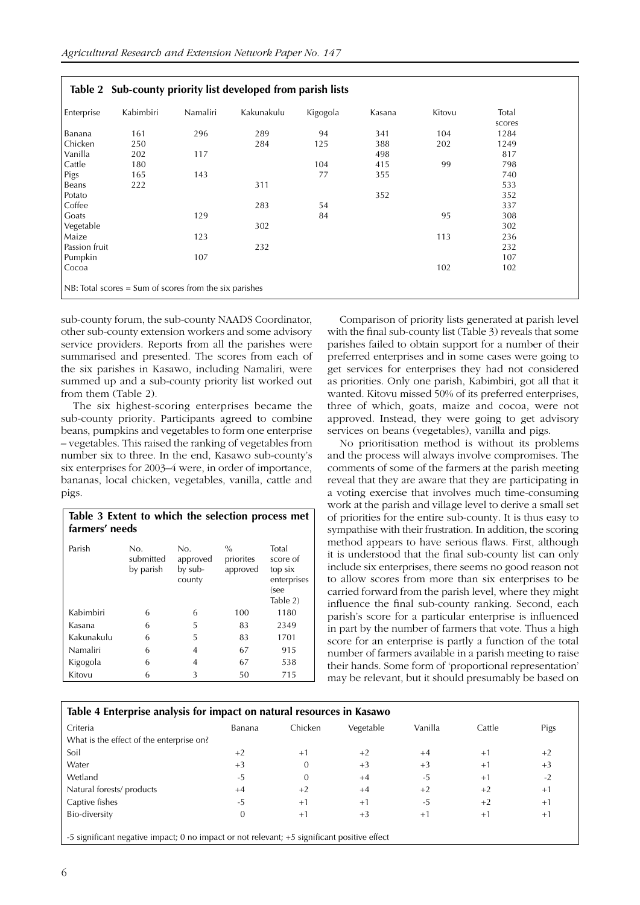|                                                          |           |          | Table 2 Sub-county priority list developed from parish lists |          |        |        |                 |  |
|----------------------------------------------------------|-----------|----------|--------------------------------------------------------------|----------|--------|--------|-----------------|--|
| Enterprise                                               | Kabimbiri | Namaliri | Kakunakulu                                                   | Kigogola | Kasana | Kitovu | Total<br>scores |  |
| Banana                                                   | 161       | 296      | 289                                                          | 94       | 341    | 104    | 1284            |  |
| Chicken                                                  | 250       |          | 284                                                          | 125      | 388    | 202    | 1249            |  |
| Vanilla                                                  | 202       | 117      |                                                              |          | 498    |        | 817             |  |
| Cattle                                                   | 180       |          |                                                              | 104      | 415    | 99     | 798             |  |
| Pigs                                                     | 165       | 143      |                                                              | 77       | 355    |        | 740             |  |
| Beans                                                    | 222       |          | 311                                                          |          |        |        | 533             |  |
| Potato                                                   |           |          |                                                              |          | 352    |        | 352             |  |
| Coffee                                                   |           |          | 283                                                          | 54       |        |        | 337             |  |
| Goats                                                    |           | 129      |                                                              | 84       |        | 95     | 308             |  |
| Vegetable                                                |           |          | 302                                                          |          |        |        | 302             |  |
| Maize                                                    |           | 123      |                                                              |          |        | 113    | 236             |  |
| Passion fruit                                            |           |          | 232                                                          |          |        |        | 232             |  |
| Pumpkin                                                  |           | 107      |                                                              |          |        |        | 107             |  |
| Cocoa                                                    |           |          |                                                              |          |        | 102    | 102             |  |
| $NB: Total scores = Sum of scores from the six parishes$ |           |          |                                                              |          |        |        |                 |  |

sub-county forum, the sub-county NAADS Coordinator, other sub-county extension workers and some advisory service providers. Reports from all the parishes were summarised and presented. The scores from each of the six parishes in Kasawo, including Namaliri, were summed up and a sub-county priority list worked out from them (Table 2).

The six highest-scoring enterprises became the sub-county priority. Participants agreed to combine beans, pumpkins and vegetables to form one enterprise – vegetables. This raised the ranking of vegetables from number six to three. In the end, Kasawo sub-county's six enterprises for 2003–4 were, in order of importance, bananas, local chicken, vegetables, vanilla, cattle and pigs.

#### **Table 3 Extent to which the selection process met farmers' needs**

| Parish     | No.<br>submitted<br>by parish | No.<br>approved<br>by sub-<br>county | $\frac{0}{0}$<br>priorites<br>approved | Total<br>score of<br>top six<br>enterprises<br>(see<br>Table 2) |
|------------|-------------------------------|--------------------------------------|----------------------------------------|-----------------------------------------------------------------|
| Kabimbiri  | 6                             | 6                                    | 100                                    | 1180                                                            |
| Kasana     | 6                             | 5                                    | 83                                     | 2349                                                            |
| Kakunakulu | 6                             | 5                                    | 83                                     | 1701                                                            |
| Namaliri   | 6                             | 4                                    | 67                                     | 915                                                             |
| Kigogola   | 6                             | 4                                    | 67                                     | 538                                                             |
| Kitovu     | 6                             | 3                                    | 50                                     | 715                                                             |

Comparison of priority lists generated at parish level with the final sub-county list (Table 3) reveals that some parishes failed to obtain support for a number of their preferred enterprises and in some cases were going to get services for enterprises they had not considered as priorities. Only one parish, Kabimbiri, got all that it wanted. Kitovu missed 50% of its preferred enterprises, three of which, goats, maize and cocoa, were not approved. Instead, they were going to get advisory services on beans (vegetables), vanilla and pigs.

No prioritisation method is without its problems and the process will always involve compromises. The comments of some of the farmers at the parish meeting reveal that they are aware that they are participating in a voting exercise that involves much time-consuming work at the parish and village level to derive a small set of priorities for the entire sub-county. It is thus easy to sympathise with their frustration. In addition, the scoring method appears to have serious flaws. First, although it is understood that the final sub-county list can only include six enterprises, there seems no good reason not to allow scores from more than six enterprises to be carried forward from the parish level, where they might influence the final sub-county ranking. Second, each parish's score for a particular enterprise is influenced in part by the number of farmers that vote. Thus a high score for an enterprise is partly a function of the total number of farmers available in a parish meeting to raise their hands. Some form of 'proportional representation' may be relevant, but it should presumably be based on

#### **Table 4 Enterprise analysis for impact on natural resources in Kasawo**

| Criteria                                                                                                            | Banana | Chicken | Vegetable | Vanilla | Cattle | Pigs |  |
|---------------------------------------------------------------------------------------------------------------------|--------|---------|-----------|---------|--------|------|--|
| What is the effect of the enterprise on?                                                                            |        |         |           |         |        |      |  |
| Soil                                                                                                                | $+2$   | $+1$    | $+2$      | $+4$    | $+1$   | $+2$ |  |
| Water                                                                                                               | $+3$   |         | $+3$      | $+3$    | $+1$   | $+3$ |  |
| Wetland                                                                                                             | $-5$   | 0       | $+4$      | -5      | $+1$   | $-2$ |  |
| Natural forests/ products                                                                                           | $+4$   | $+2$    | $+4$      | $+2$    | $+2$   | $+1$ |  |
| Captive fishes                                                                                                      | $-5$   | $+1$    | $+1$      | -5      | $+2$   | $+1$ |  |
| Bio-diversity                                                                                                       | 0      | $+1$    | $+3$      | $+1$    | $+1$   | $+1$ |  |
|                                                                                                                     |        |         |           |         |        |      |  |
| $\overline{5}$ cignificant positive impact: 0 no impact or not relevant: $\overline{5}$ cignificant positive effect |        |         |           |         |        |      |  |

 $\cdot$  impact; 0 no impact or not relevant; +5 significant positive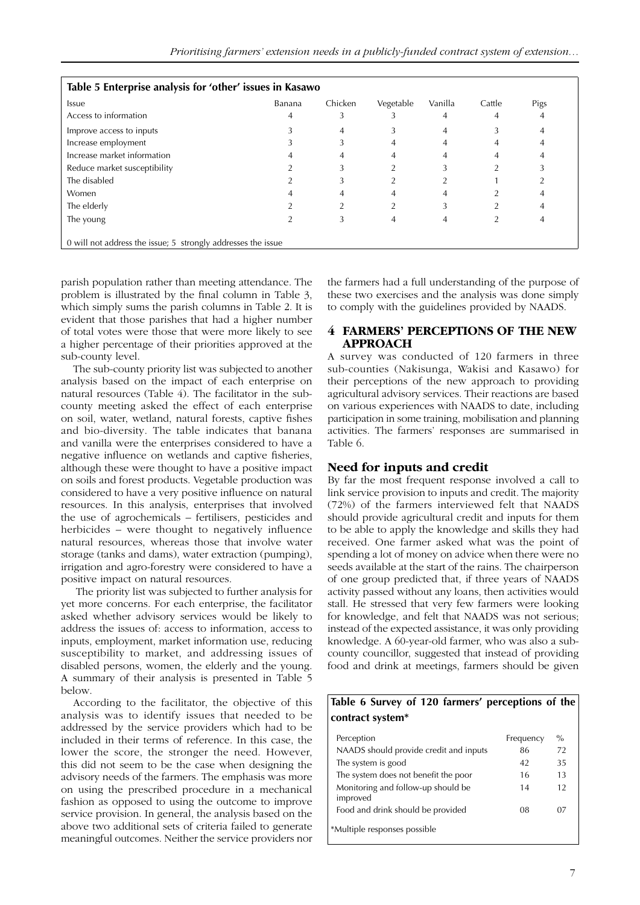| Table 5 Enterprise analysis for 'other' issues in Kasawo     |        |         |           |         |        |      |  |  |
|--------------------------------------------------------------|--------|---------|-----------|---------|--------|------|--|--|
| Issue                                                        | Banana | Chicken | Vegetable | Vanilla | Cattle | Pigs |  |  |
| Access to information                                        | 4      | 3       |           | 4       | 4      | 4    |  |  |
| Improve access to inputs                                     |        | 4       | 5         | 4       |        | 4    |  |  |
| Increase employment                                          |        | 3       | 4         | 4       | 4      |      |  |  |
| Increase market information                                  |        |         | 4         |         |        |      |  |  |
| Reduce market susceptibility                                 |        |         |           |         |        |      |  |  |
| The disabled                                                 |        |         | ำ         |         |        |      |  |  |
| Women                                                        |        | 4       | 4         | 4       |        |      |  |  |
| The elderly                                                  |        |         | ∍         |         |        |      |  |  |
| The young                                                    |        | 3       | 4         | 4       |        | 4    |  |  |
| 0 will not address the issue; 5 strongly addresses the issue |        |         |           |         |        |      |  |  |

parish population rather than meeting attendance. The problem is illustrated by the final column in Table 3, which simply sums the parish columns in Table 2. It is evident that those parishes that had a higher number of total votes were those that were more likely to see a higher percentage of their priorities approved at the sub-county level.

The sub-county priority list was subjected to another analysis based on the impact of each enterprise on natural resources (Table 4). The facilitator in the subcounty meeting asked the effect of each enterprise on soil, water, wetland, natural forests, captive fishes and bio-diversity. The table indicates that banana and vanilla were the enterprises considered to have a negative influence on wetlands and captive fisheries, although these were thought to have a positive impact on soils and forest products. Vegetable production was considered to have a very positive influence on natural resources. In this analysis, enterprises that involved the use of agrochemicals – fertilisers, pesticides and herbicides – were thought to negatively influence natural resources, whereas those that involve water storage (tanks and dams), water extraction (pumping), irrigation and agro-forestry were considered to have a positive impact on natural resources.

 The priority list was subjected to further analysis for yet more concerns. For each enterprise, the facilitator asked whether advisory services would be likely to address the issues of: access to information, access to inputs, employment, market information use, reducing susceptibility to market, and addressing issues of disabled persons, women, the elderly and the young. A summary of their analysis is presented in Table 5 below.

According to the facilitator, the objective of this analysis was to identify issues that needed to be addressed by the service providers which had to be included in their terms of reference. In this case, the lower the score, the stronger the need. However, this did not seem to be the case when designing the advisory needs of the farmers. The emphasis was more on using the prescribed procedure in a mechanical fashion as opposed to using the outcome to improve service provision. In general, the analysis based on the above two additional sets of criteria failed to generate meaningful outcomes. Neither the service providers nor the farmers had a full understanding of the purpose of these two exercises and the analysis was done simply to comply with the guidelines provided by NAADS.

#### **4 FARMERS' PERCEPTIONS OF THE NEW APPROACH**

A survey was conducted of 120 farmers in three sub-counties (Nakisunga, Wakisi and Kasawo) for their perceptions of the new approach to providing agricultural advisory services. Their reactions are based on various experiences with NAADS to date, including participation in some training, mobilisation and planning activities. The farmers' responses are summarised in Table 6.

#### **Need for inputs and credit**

By far the most frequent response involved a call to link service provision to inputs and credit. The majority (72%) of the farmers interviewed felt that NAADS should provide agricultural credit and inputs for them to be able to apply the knowledge and skills they had received. One farmer asked what was the point of spending a lot of money on advice when there were no seeds available at the start of the rains. The chairperson of one group predicted that, if three years of NAADS activity passed without any loans, then activities would stall. He stressed that very few farmers were looking for knowledge, and felt that NAADS was not serious; instead of the expected assistance, it was only providing knowledge. A 60-year-old farmer, who was also a subcounty councillor, suggested that instead of providing food and drink at meetings, farmers should be given

#### **Table 6 Survey of 120 farmers' perceptions of the contract system\***

| Perception                                     | Frequency | $\%$ |  |
|------------------------------------------------|-----------|------|--|
| NAADS should provide credit and inputs         | 86        | 72   |  |
| The system is good                             | 42        | 35   |  |
| The system does not benefit the poor           | 16        | 13   |  |
| Monitoring and follow-up should be<br>improved | 14        | 12   |  |
| Food and drink should be provided              | 08        | 07   |  |
| *Multiple responses possible                   |           |      |  |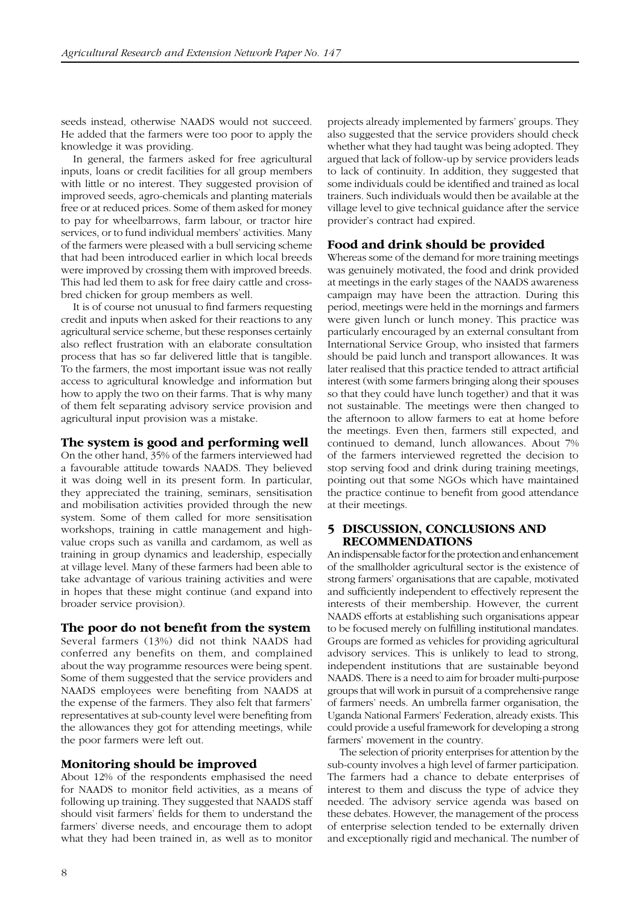seeds instead, otherwise NAADS would not succeed. He added that the farmers were too poor to apply the knowledge it was providing.

In general, the farmers asked for free agricultural inputs, loans or credit facilities for all group members with little or no interest. They suggested provision of improved seeds, agro-chemicals and planting materials free or at reduced prices. Some of them asked for money to pay for wheelbarrows, farm labour, or tractor hire services, or to fund individual members' activities. Many of the farmers were pleased with a bull servicing scheme that had been introduced earlier in which local breeds were improved by crossing them with improved breeds. This had led them to ask for free dairy cattle and crossbred chicken for group members as well.

It is of course not unusual to find farmers requesting credit and inputs when asked for their reactions to any agricultural service scheme, but these responses certainly also reflect frustration with an elaborate consultation process that has so far delivered little that is tangible. To the farmers, the most important issue was not really access to agricultural knowledge and information but how to apply the two on their farms. That is why many of them felt separating advisory service provision and agricultural input provision was a mistake.

#### **The system is good and performing well**

On the other hand, 35% of the farmers interviewed had a favourable attitude towards NAADS. They believed it was doing well in its present form. In particular, they appreciated the training, seminars, sensitisation and mobilisation activities provided through the new system. Some of them called for more sensitisation workshops, training in cattle management and highvalue crops such as vanilla and cardamom, as well as training in group dynamics and leadership, especially at village level. Many of these farmers had been able to take advantage of various training activities and were in hopes that these might continue (and expand into broader service provision).

#### **The poor do not benefit from the system**

Several farmers (13%) did not think NAADS had conferred any benefits on them, and complained about the way programme resources were being spent. Some of them suggested that the service providers and NAADS employees were benefiting from NAADS at the expense of the farmers. They also felt that farmers' representatives at sub-county level were benefiting from the allowances they got for attending meetings, while the poor farmers were left out.

#### **Monitoring should be improved**

About 12% of the respondents emphasised the need for NAADS to monitor field activities, as a means of following up training. They suggested that NAADS staff should visit farmers' fields for them to understand the farmers' diverse needs, and encourage them to adopt what they had been trained in, as well as to monitor

projects already implemented by farmers' groups. They also suggested that the service providers should check whether what they had taught was being adopted. They argued that lack of follow-up by service providers leads to lack of continuity. In addition, they suggested that some individuals could be identified and trained as local trainers. Such individuals would then be available at the village level to give technical guidance after the service provider's contract had expired.

#### **Food and drink should be provided**

Whereas some of the demand for more training meetings was genuinely motivated, the food and drink provided at meetings in the early stages of the NAADS awareness campaign may have been the attraction. During this period, meetings were held in the mornings and farmers were given lunch or lunch money. This practice was particularly encouraged by an external consultant from International Service Group, who insisted that farmers should be paid lunch and transport allowances. It was later realised that this practice tended to attract artificial interest (with some farmers bringing along their spouses so that they could have lunch together) and that it was not sustainable. The meetings were then changed to the afternoon to allow farmers to eat at home before the meetings. Even then, farmers still expected, and continued to demand, lunch allowances. About 7% of the farmers interviewed regretted the decision to stop serving food and drink during training meetings, pointing out that some NGOs which have maintained the practice continue to benefit from good attendance at their meetings.

#### **5 DISCUSSION, CONCLUSIONS AND RECOMMENDATIONS**

An indispensable factor for the protection and enhancement of the smallholder agricultural sector is the existence of strong farmers' organisations that are capable, motivated and sufficiently independent to effectively represent the interests of their membership. However, the current NAADS efforts at establishing such organisations appear to be focused merely on fulfilling institutional mandates. Groups are formed as vehicles for providing agricultural advisory services. This is unlikely to lead to strong, independent institutions that are sustainable beyond NAADS. There is a need to aim for broader multi-purpose groups that will work in pursuit of a comprehensive range of farmers' needs. An umbrella farmer organisation, the Uganda National Farmers' Federation, already exists. This could provide a useful framework for developing a strong farmers' movement in the country.

The selection of priority enterprises for attention by the sub-county involves a high level of farmer participation. The farmers had a chance to debate enterprises of interest to them and discuss the type of advice they needed. The advisory service agenda was based on these debates. However, the management of the process of enterprise selection tended to be externally driven and exceptionally rigid and mechanical. The number of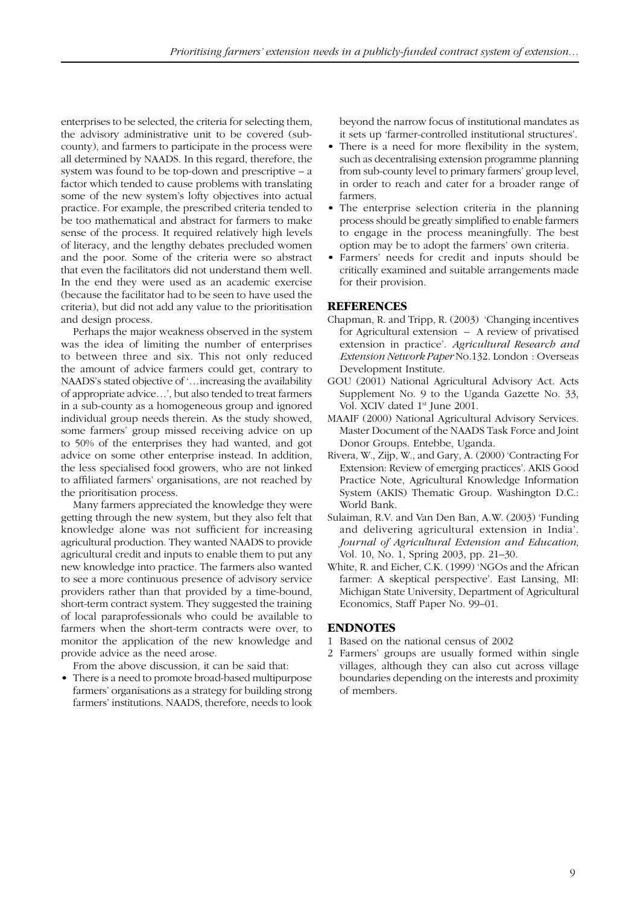enterprises to be selected, the criteria for selecting them, the advisory administrative unit to be covered (subcounty), and farmers to participate in the process were all determined by NAADS. In this regard, therefore, the system was found to be top-down and prescriptive – a factor which tended to cause problems with translating some of the new system's lofty objectives into actual practice. For example, the prescribed criteria tended to be too mathematical and abstract for farmers to make sense of the process. It required relatively high levels of literacy, and the lengthy debates precluded women and the poor. Some of the criteria were so abstract that even the facilitators did not understand them well. In the end they were used as an academic exercise (because the facilitator had to be seen to have used the criteria), but did not add any value to the prioritisation and design process.

Perhaps the major weakness observed in the system was the idea of limiting the number of enterprises to between three and six. This not only reduced the amount of advice farmers could get, contrary to NAADS's stated objective of '…increasing the availability of appropriate advice…', but also tended to treat farmers in a sub-county as a homogeneous group and ignored individual group needs therein. As the study showed, some farmers' group missed receiving advice on up to 50% of the enterprises they had wanted, and got advice on some other enterprise instead. In addition, the less specialised food growers, who are not linked to affiliated farmers' organisations, are not reached by the prioritisation process.

Many farmers appreciated the knowledge they were getting through the new system, but they also felt that knowledge alone was not sufficient for increasing agricultural production. They wanted NAADS to provide agricultural credit and inputs to enable them to put any new knowledge into practice. The farmers also wanted to see a more continuous presence of advisory service providers rather than that provided by a time-bound, short-term contract system. They suggested the training of local paraprofessionals who could be available to farmers when the short-term contracts were over, to monitor the application of the new knowledge and provide advice as the need arose.

From the above discussion, it can be said that:

• There is a need to promote broad-based multipurpose farmers' organisations as a strategy for building strong farmers' institutions. NAADS, therefore, needs to look beyond the narrow focus of institutional mandates as it sets up 'farmer-controlled institutional structures'.

- There is a need for more flexibility in the system, such as decentralising extension programme planning from sub-county level to primary farmers' group level, in order to reach and cater for a broader range of farmers.
- The enterprise selection criteria in the planning process should be greatly simplified to enable farmers to engage in the process meaningfully. The best option may be to adopt the farmers' own criteria.
- Farmers' needs for credit and inputs should be critically examined and suitable arrangements made for their provision.

#### **REFERENCES**

- Chapman, R. and Tripp, R. (2003) 'Changing incentives for Agricultural extension – A review of privatised extension in practice'. *Agricultural Research and Extension Network Paper* No.132. London : Overseas Development Institute.
- GOU (2001) National Agricultural Advisory Act. Acts Supplement No. 9 to the Uganda Gazette No. 33, Vol. XCIV dated 1<sup>st</sup> June 2001.
- MAAIF (2000) National Agricultural Advisory Services. Master Document of the NAADS Task Force and Joint Donor Groups. Entebbe, Uganda.
- Rivera, W., Zijp, W., and Gary, A. (2000) 'Contracting For Extension: Review of emerging practices'. AKIS Good Practice Note, Agricultural Knowledge Information System (AKIS) Thematic Group. Washington D.C.: World Bank.
- Sulaiman, R.V. and Van Den Ban, A.W. (2003) 'Funding and delivering agricultural extension in India'. *Journal of Agricultural Extension and Education*, Vol. 10, No. 1, Spring 2003, pp. 21–30.
- White, R. and Eicher, C.K. (1999) 'NGOs and the African farmer: A skeptical perspective'. East Lansing, MI: Michigan State University, Department of Agricultural Economics, Staff Paper No. 99–01.

#### **ENDNOTES**

- 1 Based on the national census of 2002
- 2 Farmers' groups are usually formed within single villages, although they can also cut across village boundaries depending on the interests and proximity of members.